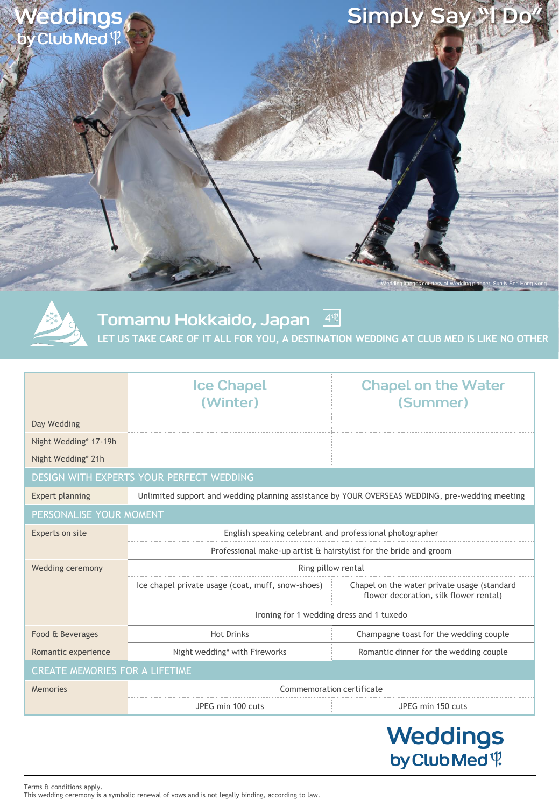

Tomamu Hokkaido, Japan  $4$  $\sqrt{2}$ 

**LET US TAKE CARE OF IT ALL FOR YOU, A DESTINATION WEDDING AT CLUB MED IS LIKE NO OTHER**

|                                          | <b>Ice Chapel</b>                                                                               | <b>Chapel on the Water</b>                                                            |  |
|------------------------------------------|-------------------------------------------------------------------------------------------------|---------------------------------------------------------------------------------------|--|
|                                          | (Winter)                                                                                        | (Summer)                                                                              |  |
| Day Wedding                              |                                                                                                 |                                                                                       |  |
| Night Wedding* 17-19h                    |                                                                                                 |                                                                                       |  |
| Night Wedding* 21h                       |                                                                                                 |                                                                                       |  |
| DESIGN WITH EXPERTS YOUR PERFECT WEDDING |                                                                                                 |                                                                                       |  |
| <b>Expert planning</b>                   | Unlimited support and wedding planning assistance by YOUR OVERSEAS WEDDING, pre-wedding meeting |                                                                                       |  |
| PERSONALISE YOUR MOMENT                  |                                                                                                 |                                                                                       |  |
| Experts on site                          | English speaking celebrant and professional photographer                                        |                                                                                       |  |
|                                          | Professional make-up artist & hairstylist for the bride and groom                               |                                                                                       |  |
| Wedding ceremony                         | Ring pillow rental                                                                              |                                                                                       |  |
|                                          | Ice chapel private usage (coat, muff, snow-shoes)                                               | Chapel on the water private usage (standard<br>flower decoration, silk flower rental) |  |
|                                          | Ironing for 1 wedding dress and 1 tuxedo                                                        |                                                                                       |  |
| Food & Beverages                         | <b>Hot Drinks</b>                                                                               | Champagne toast for the wedding couple                                                |  |
| Romantic experience                      | Night wedding* with Fireworks                                                                   | Romantic dinner for the wedding couple                                                |  |
| CREATE MEMORIES FOR A LIFETIME           |                                                                                                 |                                                                                       |  |
| Memories                                 | Commemoration certificate                                                                       |                                                                                       |  |
|                                          | JPEG min 100 cuts                                                                               | JPEG min 150 cuts                                                                     |  |
|                                          |                                                                                                 |                                                                                       |  |

Weddings by Club Med<sup>q</sup>